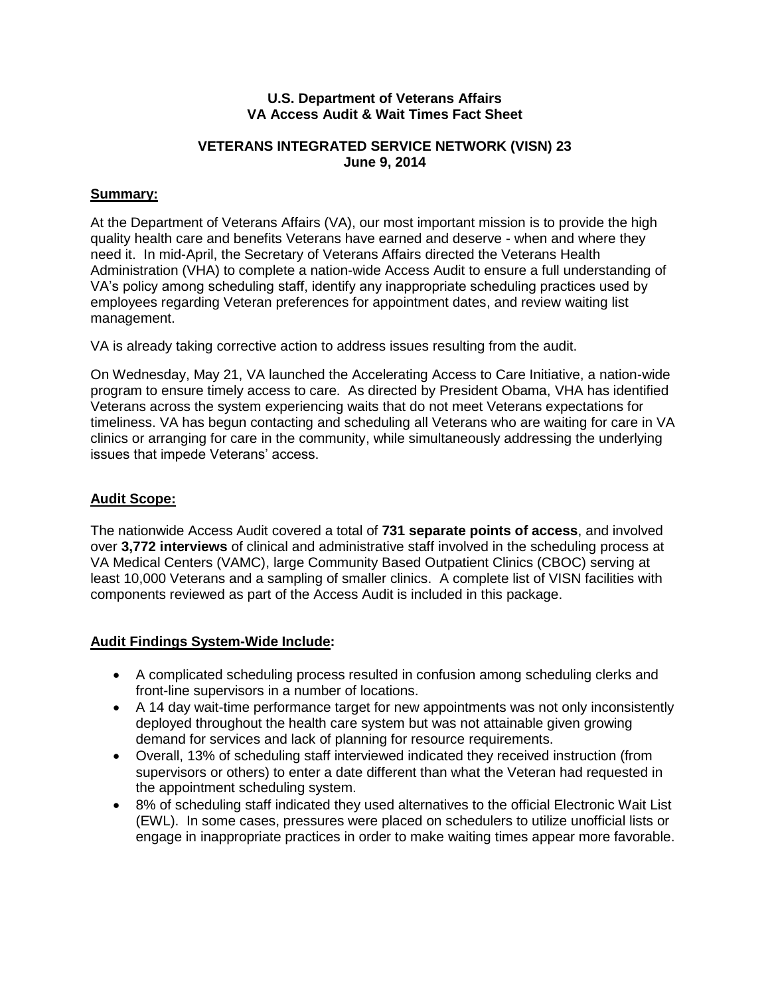#### **U.S. Department of Veterans Affairs VA Access Audit & Wait Times Fact Sheet**

# **VETERANS INTEGRATED SERVICE NETWORK (VISN) 23 June 9, 2014**

# **Summary:**

At the Department of Veterans Affairs (VA), our most important mission is to provide the high quality health care and benefits Veterans have earned and deserve - when and where they need it. In mid-April, the Secretary of Veterans Affairs directed the Veterans Health Administration (VHA) to complete a nation-wide Access Audit to ensure a full understanding of VA's policy among scheduling staff, identify any inappropriate scheduling practices used by employees regarding Veteran preferences for appointment dates, and review waiting list management.

VA is already taking corrective action to address issues resulting from the audit.

On Wednesday, May 21, VA launched the Accelerating Access to Care Initiative, a nation-wide program to ensure timely access to care. As directed by President Obama, VHA has identified Veterans across the system experiencing waits that do not meet Veterans expectations for timeliness. VA has begun contacting and scheduling all Veterans who are waiting for care in VA clinics or arranging for care in the community, while simultaneously addressing the underlying issues that impede Veterans' access.

#### **Audit Scope:**

The nationwide Access Audit covered a total of **731 separate points of access**, and involved over **3,772 interviews** of clinical and administrative staff involved in the scheduling process at VA Medical Centers (VAMC), large Community Based Outpatient Clinics (CBOC) serving at least 10,000 Veterans and a sampling of smaller clinics. A complete list of VISN facilities with components reviewed as part of the Access Audit is included in this package.

# **Audit Findings System-Wide Include:**

- A complicated scheduling process resulted in confusion among scheduling clerks and front-line supervisors in a number of locations.
- A 14 day wait-time performance target for new appointments was not only inconsistently deployed throughout the health care system but was not attainable given growing demand for services and lack of planning for resource requirements.
- Overall, 13% of scheduling staff interviewed indicated they received instruction (from supervisors or others) to enter a date different than what the Veteran had requested in the appointment scheduling system.
- 8% of scheduling staff indicated they used alternatives to the official Electronic Wait List (EWL). In some cases, pressures were placed on schedulers to utilize unofficial lists or engage in inappropriate practices in order to make waiting times appear more favorable.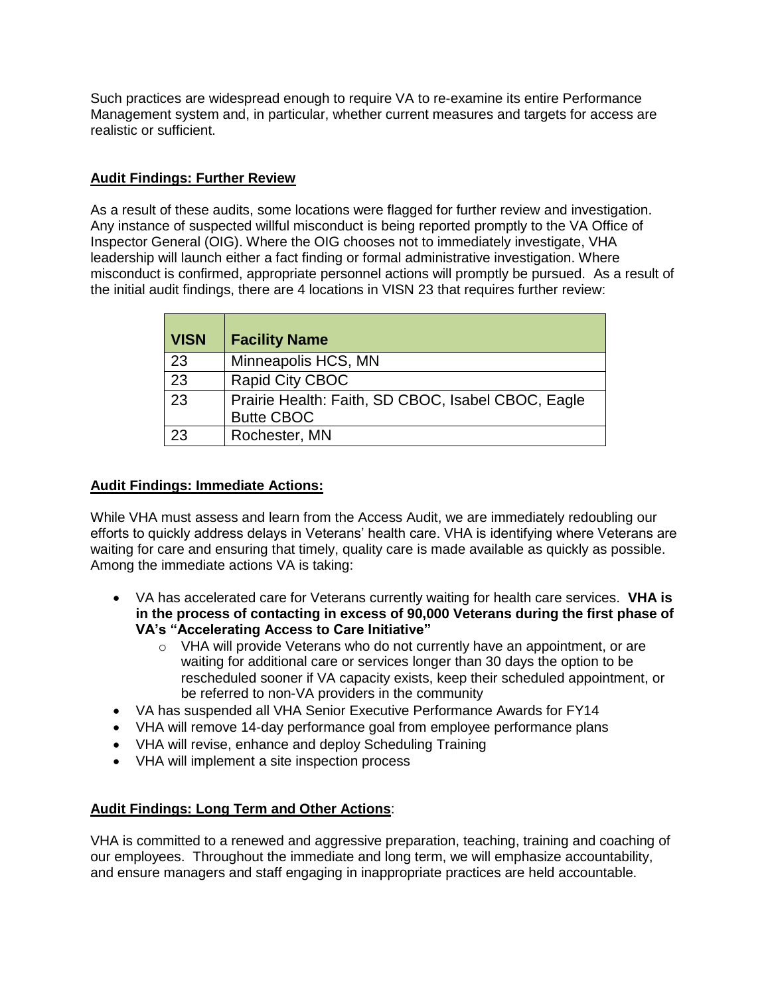Such practices are widespread enough to require VA to re-examine its entire Performance Management system and, in particular, whether current measures and targets for access are realistic or sufficient.

# **Audit Findings: Further Review**

As a result of these audits, some locations were flagged for further review and investigation. Any instance of suspected willful misconduct is being reported promptly to the VA Office of Inspector General (OIG). Where the OIG chooses not to immediately investigate, VHA leadership will launch either a fact finding or formal administrative investigation. Where misconduct is confirmed, appropriate personnel actions will promptly be pursued. As a result of the initial audit findings, there are 4 locations in VISN 23 that requires further review:

| <b>VISN</b> | <b>Facility Name</b>                                                    |
|-------------|-------------------------------------------------------------------------|
| 23          | Minneapolis HCS, MN                                                     |
| 23          | Rapid City CBOC                                                         |
| 23          | Prairie Health: Faith, SD CBOC, Isabel CBOC, Eagle<br><b>Butte CBOC</b> |
| 23          | Rochester, MN                                                           |

#### **Audit Findings: Immediate Actions:**

While VHA must assess and learn from the Access Audit, we are immediately redoubling our efforts to quickly address delays in Veterans' health care. VHA is identifying where Veterans are waiting for care and ensuring that timely, quality care is made available as quickly as possible. Among the immediate actions VA is taking:

- VA has accelerated care for Veterans currently waiting for health care services. **VHA is in the process of contacting in excess of 90,000 Veterans during the first phase of VA's "Accelerating Access to Care Initiative"**
	- o VHA will provide Veterans who do not currently have an appointment, or are waiting for additional care or services longer than 30 days the option to be rescheduled sooner if VA capacity exists, keep their scheduled appointment, or be referred to non-VA providers in the community
- VA has suspended all VHA Senior Executive Performance Awards for FY14
- VHA will remove 14-day performance goal from employee performance plans
- VHA will revise, enhance and deploy Scheduling Training
- VHA will implement a site inspection process

# **Audit Findings: Long Term and Other Actions**:

VHA is committed to a renewed and aggressive preparation, teaching, training and coaching of our employees. Throughout the immediate and long term, we will emphasize accountability, and ensure managers and staff engaging in inappropriate practices are held accountable.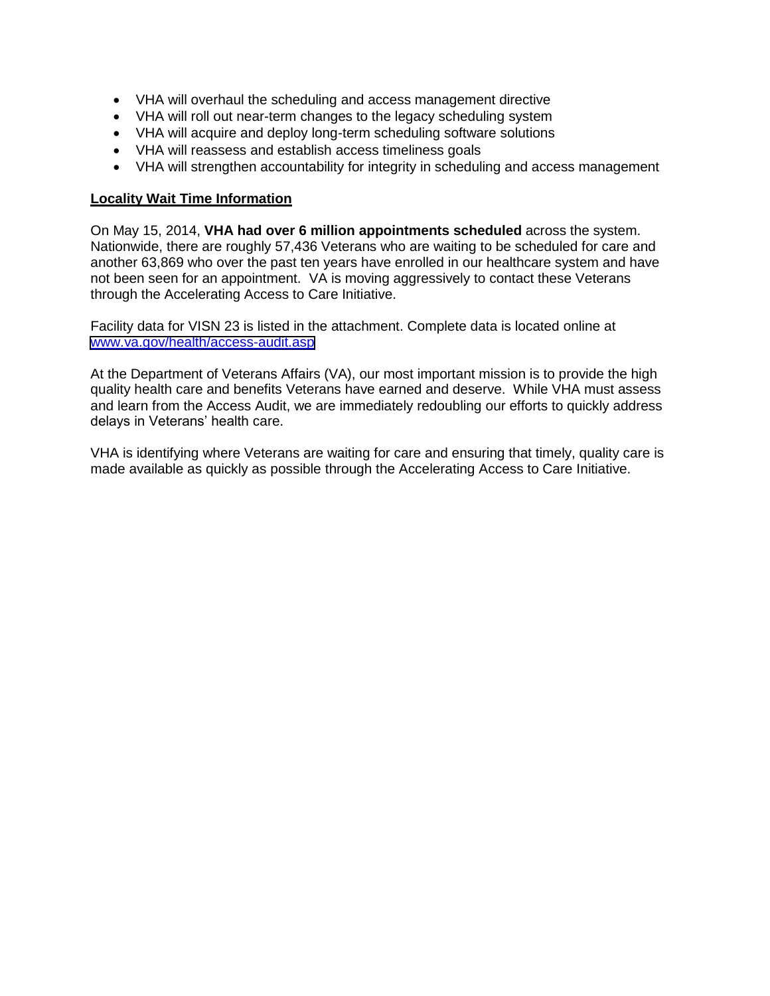- VHA will overhaul the scheduling and access management directive
- VHA will roll out near-term changes to the legacy scheduling system
- VHA will acquire and deploy long-term scheduling software solutions
- VHA will reassess and establish access timeliness goals
- VHA will strengthen accountability for integrity in scheduling and access management

#### **Locality Wait Time Information**

On May 15, 2014, **VHA had over 6 million appointments scheduled** across the system. Nationwide, there are roughly 57,436 Veterans who are waiting to be scheduled for care and another 63,869 who over the past ten years have enrolled in our healthcare system and have not been seen for an appointment. VA is moving aggressively to contact these Veterans through the Accelerating Access to Care Initiative.

Facility data for VISN 23 is listed in the attachment. Complete data is located online at [www.va.gov/health/access-audit.asp](https://www.va.gov/health/access-audit.asp)

At the Department of Veterans Affairs (VA), our most important mission is to provide the high quality health care and benefits Veterans have earned and deserve. While VHA must assess and learn from the Access Audit, we are immediately redoubling our efforts to quickly address delays in Veterans' health care.

VHA is identifying where Veterans are waiting for care and ensuring that timely, quality care is made available as quickly as possible through the Accelerating Access to Care Initiative.